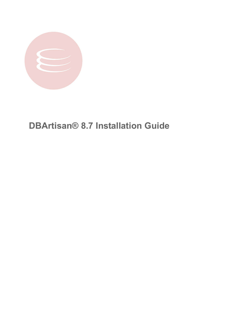

**DBArtisan® 8.7 Installation Guide**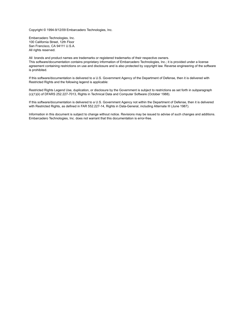Copyright © 1994-9/12/09 Embarcadero Technologies, Inc.

Embarcadero Technologies, Inc. 100 California Street, 12th Floor San Francisco, CA 94111 U.S.A. All rights reserved.

All brands and product names are trademarks or registered trademarks of their respective owners. This software/documentation contains proprietary information of Embarcadero Technologies, Inc.; it is provided under a license agreement containing restrictions on use and disclosure and is also protected by copyright law. Reverse engineering of the software is prohibited.

If this software/documentation is delivered to a U.S. Government Agency of the Department of Defense, then it is delivered with Restricted Rights and the following legend is applicable:

Restricted Rights Legend Use, duplication, or disclosure by the Government is subject to restrictions as set forth in subparagraph (c)(1)(ii) of DFARS 252.227-7013, Rights in Technical Data and Computer Software (October 1988).

If this software/documentation is delivered to a U.S. Government Agency not within the Department of Defense, then it is delivered with Restricted Rights, as defined in FAR 552.227-14, Rights in Data-General, including Alternate III (June 1987).

Information in this document is subject to change without notice. Revisions may be issued to advise of such changes and additions. Embarcadero Technologies, Inc. does not warrant that this documentation is error-free.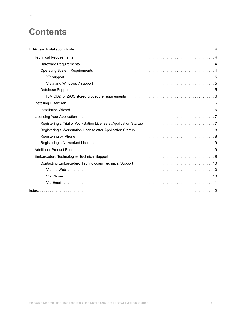# **Contents**

 $>$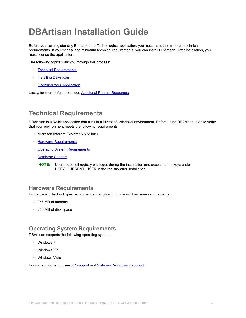# <span id="page-3-0"></span>**DBArtisan Installation Guide**

Before you can register any Embarcadero Technologies application, you must meet the minimum technical requirements. If you meet all the minimum technical requirements, you can install DBArtisan. After installation, you must license the application.

The following topics walk you through this process:

- [Technical Requirements](#page-3-1)
- [Installing DBArtisan](#page-5-1)
- <span id="page-3-4"></span>• [Licensing Your Application](#page-6-0)

Lastly, for more information, see **Additional Product Resources**.

# <span id="page-3-1"></span>**Technical Requirements**

DBArtisan is a 32-bit application that runs in a Microsoft Windows environment. Before using DBArtisan, please verify that your environment meets the following requirements:

- Microsoft Internet Explorer 5.5 or later
- [Hardware Requirements](#page-3-2)
- [Operating System Requirements](#page-3-3)
- [Database Support](#page-4-2)
	- **NOTE:** Users need full registry privileges during the installation and access to the keys under HKEY\_CURRENT\_USER in the registry after installation.

### <span id="page-3-2"></span>**Hardware Requirements**

Embarcadero Technologies recommends the following minimum hardware requirements:

- <span id="page-3-5"></span>• 256 MB of memory
- <span id="page-3-6"></span>• 256 MB of disk space

## <span id="page-3-3"></span>**Operating System Requirements**

DBArtisan supports the following operating systems:

- Windows 7
- Windows XP
- Windows Vista

For more information, see [XP support](#page-4-0) and [Vista and Windows 7 support](#page-4-1).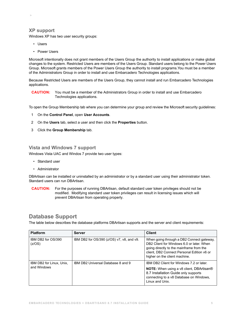### <span id="page-4-0"></span>**XP support**

 **>** 

Windows XP has two user security groups:

- Users
- Power Users

Microsoft intentionally does not grant members of the Users Group the authority to install applications or make global changes to the system. Restricted Users are members of the Users Group. Standard users belong to the Power Users Group. Microsoft grants members of the Power Users Group the authority to install programs.You must be a member of the Administrators Group in order to install and use Embarcadero Technologies applications.

Because Restricted Users are members of the Users Group, they cannot install and run Embarcadero Technologies applications.

**CAUTION:** You must be a member of the Administrators Group in order to install and use Embarcadero Technologies applications.

To open the Group Membership tab where you can determine your group and review the Microsoft security guidelines:

- 1 On the **Control Panel**, open **User Accounts**.
- 2 On the **Users** tab, select a user and then click the **Properties** button.
- 3 Click the **Group Membership** tab.

### <span id="page-4-1"></span>**Vista and Windows 7 support**

Windows Vista UAC and Windos 7 provide two user types:

- Standard user
- Administrator

DBArtisan can be installed or uninstalled by an administrator or by a standard user using their administrator token. Standard users can run DBArtisan.

**CAUTION:** For the purposes of running DBArtisan, default standard user token privileges should not be modified. Modifying standard user token privileges can result in licensing issues which will prevent DBArtisan from operating properly.

### <span id="page-4-2"></span>**Database Support**

The table below describes the database platforms DBArtisan supports and the server and client requirements:

| <b>Platform</b>                         | <b>Server</b>                             | <b>Client</b>                                                                                                                                                                                                     |
|-----------------------------------------|-------------------------------------------|-------------------------------------------------------------------------------------------------------------------------------------------------------------------------------------------------------------------|
| IBM DB2 for OS/390<br>(z/OS)            | IBM DB2 for OS/390 (z/OS) v7, v8, and v9. | When going through a DB2 Connect gateway,<br>DB2 Client for Windows 6.0 or later. When<br>going directly to the mainframe from the<br>client, DB2 Connect Personal Edition v6 or<br>higher on the client machine. |
| IBM DB2 for Linux, Unix,<br>and Windows | IBM DB2 Universal Database 8 and 9        | IBM DB2 Client for Windows 7.2 or later.<br>NOTE: When using a v8 client, DBArtisan®<br>8.7 Installation Guide only supports<br>connecting to a v8 Database on Windows,<br>Linux and Unix.                        |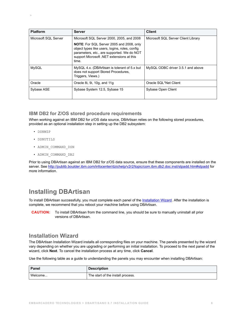| <b>Platform</b>      | <b>Server</b>                                                                                                                                                                                         | <b>Client</b>                       |
|----------------------|-------------------------------------------------------------------------------------------------------------------------------------------------------------------------------------------------------|-------------------------------------|
| Microsoft SQL Server | Microsoft SQL Server 2000, 2005, and 2008                                                                                                                                                             | Microsoft SQL Server Client Library |
|                      | <b>NOTE:</b> For SQL Server 2005 and 2008, only<br>object types like users, logins, roles, config<br>parameters, etc., are supported. We do NOT<br>support Microsoft .NET extensions at this<br>time. |                                     |
| <b>MySQL</b>         | MySQL 4.x. (DBArtisan is tolerant of 5.x but<br>does not support Stored Procedures,<br>Triggers, Views.)                                                                                              | MySQL ODBC driver 3.5.1 and above   |
| Oracle               | Oracle 8i, 9i, 10g, and 11g                                                                                                                                                                           | Oracle SQL*Net Client               |
| Sybase ASE           | Sybase System 12.5, Sybase 15                                                                                                                                                                         | Sybase Open Client                  |

### <span id="page-5-0"></span>**IBM DB2 for Z/OS stored procedure requirements**

When working against an IBM DB2 for z/OS data source, DBArtisan relies on the following stored procedures, provided as an optional installation step in setting up the DB2 subsystem:

• DSNWZP

 **>** 

- DSNUTILS
- ADMIN\_COMMAND\_DSN
- ADMIN\_COMMAND\_DB2

Prior to using DBArtisan against an IBM DB2 for z/OS data source, ensure that these components are installed on the server. See [http://publib.boulder.ibm.com/infocenter/dzichelp/v2r2/topic/com.ibm.db2.doc.inst/stpadd.htm#stpadd](http://publib.boulder.ibm.com/infocenter/dzichelp/v2r2/index.jsp?topic=/com.ibm.db2.doc.inst/stpadd.htm) for more information.

# <span id="page-5-3"></span><span id="page-5-1"></span>**Installing DBArtisan**

To install DBArtisan successfully, you must complete each panel of the [Installation Wizard.](#page-5-2) After the installation is complete, we recommend that you reboot your machine before using DBArtisan.

**CAUTION:** To install DBArtisan from the command line, you should be sure to manually uninstall all prior versions of DBArtisan.

### <span id="page-5-2"></span>**Installation Wizard**

The DBArtisan Installation Wizard installs all corresponding files on your machine. The panels presented by the wizard vary depending on whether you are upgrading or performing an initial installation. To proceed to the next panel of the wizard, click **Next**. To cancel the installation process at any time, click **Cancel**.

Use the following table as a guide to understanding the panels you may encounter when installing DBArtisan:

| Panel   | <b>Description</b>                |
|---------|-----------------------------------|
| Welcome | The start of the install process. |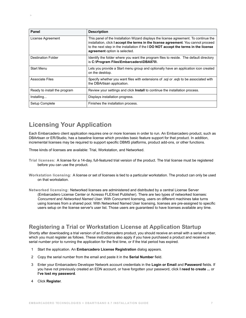| Panel                        | <b>Description</b>                                                                                                                                                                                                                                                                                           |
|------------------------------|--------------------------------------------------------------------------------------------------------------------------------------------------------------------------------------------------------------------------------------------------------------------------------------------------------------|
| License Agreement            | This panel of the Installation Wizard displays the license agreement. To continue the<br>installation, click I accept the terms in the license agreement. You cannot proceed<br>to the next step in the installation if the <b>I DO NOT accept the terms in the license</b><br>agreement option is selected. |
| <b>Destination Folder</b>    | Identify the folder where you want the program files to reside. The default directory<br>is C:\Program Files\Embarcadero\DBA870\.                                                                                                                                                                            |
| Start Menu                   | Lets you provide a Start menu group and optionally have an application icon created<br>on the desktop.                                                                                                                                                                                                       |
| <b>Associate Files</b>       | Specify whether you want files with extensions of sql or eqp to be associated with<br>the DBArtisan application.                                                                                                                                                                                             |
| Ready to install the program | Review your settings and click <b>Install</b> to continue the installation process.                                                                                                                                                                                                                          |
| Installing                   | Displays installation progress.                                                                                                                                                                                                                                                                              |
| Setup Complete               | Finishes the installation process.                                                                                                                                                                                                                                                                           |

# <span id="page-6-0"></span>**Licensing Your Application**

 $\,>$ 

Each Embarcadero client application requires one or more licenses in order to run. An Embarcadero product, such as DBArtisan or ER/Studio, has a baseline license which provides basic feature support for that product. In addition, incremental licenses may be required to support specific DBMS platforms, product add-ons, or other functions.

Three kinds of licenses are available: Trial, Workstation, and Networked.

- **Trial licenses:** A license for a 14-day, full-featured trial version of the product. The trial license must be registered before you can use the product.
- **Workstation licensing:** A license or set of licenses is tied to a particular workstation. The product can only be used on that workstation.
- **Networked licensing:** Networked licenses are administered and distributed by a central License Server (Embarcadero License Center or Acresso FLEXnet Publisher). There are two types of networked licenses: *Concurrent* and *Networked Named User*. With Concurrent licensing, users on different machines take turns using licenses from a shared pool. With Networked Named User licensing, licenses are pre-assigned to specific users setup on the license server's user list. Those users are guaranteed to have licenses available any time.

## <span id="page-6-1"></span>**Registering a Trial or Workstation License at Application Startup**

Shortly after downloading a trial version of an Embarcadero product, you should receive an email with a serial number, which you must register as follows. These instructions also apply if you have purchased a product and received a serial number prior to running the application for the first time, or if the trial period has expired.

- 1 Start the application. An **Embarcadero License Registration** dialog appears.
- 2 Copy the serial number from the email and paste it in the **Serial Number** field.
- 3 Enter your Embarcadero Developer Network account credentials in the **Login or Email** and **Password** fields. If you have not previously created an EDN account, or have forgotten your password, click **I need to create ...** or **I've lost my password**.
- 4 Click **Register**.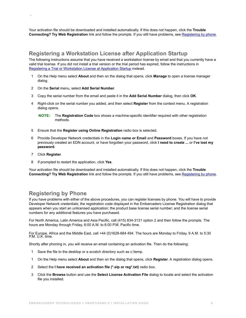Your activation file should be downloaded and installed automatically. If this does not happen, click the **Trouble Connecting? Try Web Registration** link and follow the prompts. If you still have problems, see [Registering by phone.](#page-7-0)

### **Registering a Workstation License after Application Startup**

The following instructions assume that you have received a workstation license by email and that you currently have a valid trial license. If you did not install a trial version or the trial period has expired, follow the instructions in [Registering a Trial or Workstation License at Application Startup](#page-6-1) instead.

- 1 On the Help menu select **About** and then on the dialog that opens, click **Manage** to open a license manager dialog.
- 2 On the **Serial** menu, select **Add Serial Number**.
- 3 Copy the serial number from the email and paste it in the **Add Serial Number** dialog, then click **OK**.
- 4 Right-click on the serial number you added, and then select **Register** from the context menu. A registration dialog opens.
	- **NOTE:** The **Registration Code** box shows a machine-specific identifier required with other registration methods.
- 5 Ensure that the **Register using Online Registration** radio box is selected.
- 6 Provide Developer Network credentials in the **Login name or Email** and **Password** boxes. If you have not previously created an EDN account, or have forgotten your password, click **I need to create ...** or **I've lost my password**.
- 7 Click **Register**.

 **>** 

8 If prompted to restart the application, click **Yes**.

Your activation file should be downloaded and installed automatically. If this does not happen, click the **Trouble Connecting? Try Web Registration** link and follow the prompts. If you still have problems, see [Registering by phone.](#page-7-0)

# <span id="page-7-0"></span>**Registering by Phone**

If you have problems with either of the above procedures, you can register licenses by phone. You will have to provide Developer Network credentials; the registration code displayed in the Embarcadero License Registration dialog that appears when you start an unlicensed application; the product base license serial number; and the license serial numbers for any additional features you have purchased.

For North America, Latin America and Asia Pacific, call (415) 834-3131 option 2 and then follow the prompts. The hours are Monday through Friday, 6:00 A.M. to 6:00 P.M. Pacific time.

For Europe, Africa and the Middle East, call +44 (0)1628-684 494. The hours are Monday to Friday, 9 A.M. to 5:30 P.M. U.K. time.

Shortly after phoning in, you will receive an email containing an activation file. Then do the following:

- 1 Save the file to the desktop or a scratch directory such as c:\temp.
- 1 On the Help menu select **About** and then on the dialog that opens, click **Register**. A registration dialog opens.
- 2 Select the **I have received an activation file (\*.slp or reg\*.txt)** radio box.
- 3 Click the **Browse** button and use the **Select License Activation File** dialog to locate and select the activation file you installed.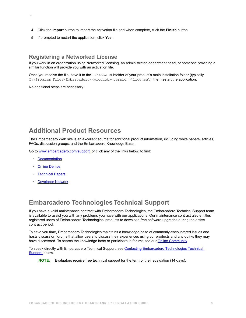- 4 Click the **Import** button to import the activation file and when complete, click the **Finish** button.
- 5 If prompted to restart the application, click **Yes**.

### **Registering a Networked License**

If you work in an organization using Networked licensing, an administrator, department head, or someone providing a similar function will provide you with an activation file.

Once you receive the file, save it to the license subfolder of your product's main installation folder (typically C:\Program Files\Embarcadero\<product><version>\license\), then restart the application.

<span id="page-8-0"></span>No additional steps are necessary.

 **>** 

## <span id="page-8-3"></span><span id="page-8-1"></span>**Additional Product Resources**

The Embarcadero Web site is an excellent source for additional product information, including white papers, articles, FAQs, discussion groups, and the Embarcadero Knowledge Base.

Go to [www.embarcadero.com/support](http://www.embarcadero.com/support/), or click any of the links below, to find:

- [Documentation](http://docs.embarcadero.com)
- [Online Demos](http://www.embarcadero.com/resources/demos)
- [Technical Papers](http://www.embarcadero.com/resources/technical-papers)
- <span id="page-8-4"></span>• [Developer Network](http://edn.embarcadero.com)

# <span id="page-8-2"></span>**Embarcadero Technologies Technical Support**

If you have a valid maintenance contract with Embarcadero Technologies, the Embarcadero Technical Support team is available to assist you with any problems you have with our applications. Our maintenance contract also entitles registered users of Embarcadero Technologies' products to download free software upgrades during the active contract period.

To save you time, Embarcadero Technologies maintains a knowledge base of commonly-encountered issues and hosts discussion forums that allow users to discuss their experiences using our products and any quirks they may have discovered. To search the knowledge base or participate in forums see our [Online Community.](http://etnaweb04.embarcadero.com/jive/index.jspa)

To speak directly with Embarcadero Technical Support, see [Contacting Embarcadero Technologies Technical](#page-9-0)  [Support,](#page-9-0) below.

**NOTE:** Evaluators receive free technical support for the term of their evaluation (14 days).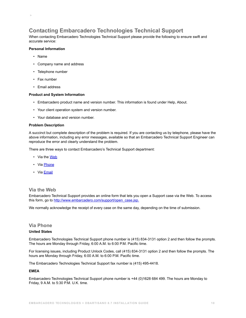# <span id="page-9-0"></span>**Contacting Embarcadero Technologies Technical Support**

When contacting Embarcadero Technologies Technical Support please provide the following to ensure swift and accurate service:

#### **Personal Information**

• Name

 **>** 

- Company name and address
- Telephone number
- Fax number
- Email address

#### **Product and System Information**

- Embarcadero product name and version number. This information is found under Help, About.
- Your client operation system and version number.
- Your database and version number.

#### **Problem Description**

A succinct but complete description of the problem is required. If you are contacting us by telephone, please have the above information, including any error messages, available so that an Embarcadero Technical Support Engineer can reproduce the error and clearly understand the problem.

There are three ways to contact Embarcadero's Technical Support department:

- Via the [Web](#page-9-1)
- Via [Phone](#page-9-2)
- Via **[Email](#page-10-0)**

#### <span id="page-9-1"></span>**Via the Web**

Embarcadero Technical Support provides an online form that lets you open a Support case via the Web. To access this form, go to [http://www.embarcadero.com/support/open\\_case.jsp.](http://www.embarcadero.com/support/open_case.jsp)

We normally acknowledge the receipt of every case on the same day, depending on the time of submission.

### <span id="page-9-2"></span>**Via Phone**

#### **United States**

Embarcadero Technologies Technical Support phone number is (415) 834-3131 option 2 and then follow the prompts. The hours are Monday through Friday, 6:00 A.M. to 6:00 P.M. Pacific time.

For licensing issues, including Product Unlock Codes, call (415) 834-3131 option 2 and then follow the prompts. The hours are Monday through Friday, 6:00 A.M. to 6:00 P.M. Pacific time.

The Embarcadero Technologies Technical Support fax number is (415) 495-4418.

#### **EMEA**

Embarcadero Technologies Technical Support phone number is +44 (0)1628 684 499. The hours are Monday to Friday, 9 A.M. to 5:30 P.M. U.K. time.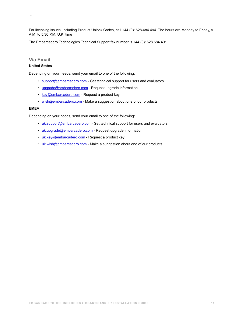For licensing issues, including Product Unlock Codes, call +44 (0)1628-684 494. The hours are Monday to Friday, 9 A.M. to 5:30 P.M. U.K. time

The Embarcadero Technologies Technical Support fax number is +44 (0)1628 684 401.

### <span id="page-10-0"></span>**Via Email**

 **>** 

#### **United States**

Depending on your needs, send your email to one of the following:

- [support@embarcadero.com](mailto:support@embarcadero.com?subject=Technical Support Request)  Get technical support for users and evaluators
- [upgrade@embarcadero.com](mailto:upgrade@embarcadero.com?subject=Upgrade Information Request)  Request upgrade information
- [key@embarcadero.com](mailto:key@embarcadero.com?subject=Key Request)  Request a product key
- [wish@embarcadero.com](mailto:wish@embarcadero.com?subject=Product Suggestion)  Make a suggestion about one of our products

#### **EMEA**

Depending on your needs, send your email to one of the following:

- [uk.support@embarcadero.com-](mailto:uk.support@embarcadero.com?subject=Technical Support Request) Get technical support for users and evaluators
- [uk.upgrade@embarcadero.com](mailto:uk.upgrade@embarcadero.com?subject=Upgrade Information Request)  Request upgrade information
- [uk.key@embarcadero.com](mailto:uk.key@embarcadero.com?subject=Key Request)  Request a product key
- [uk.wish@embarcadero.com](mailto:uk.wish@embarcadero.com?subject=Product Suggestion)  Make a suggestion about one of our products